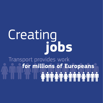# Creating**jobs**

Transport provides work **for millions of Europeans<br>The Ann Ann Ann Ann Ann A**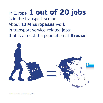In Europe, **1 out of 20 jobs** is in the transport sector. About **11M Europeans** work in transport service-related jobs: that is almost the population of **Greece**!



**Source:** Eurostat Labour Force Survey, 2014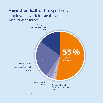### **More than half** of transport service employees work in **land** transport (road, rail and pipelines).

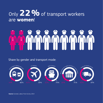## Only **2 %** of transport workers **2**are **women**!

# 

#### Share by gender and transport mode: